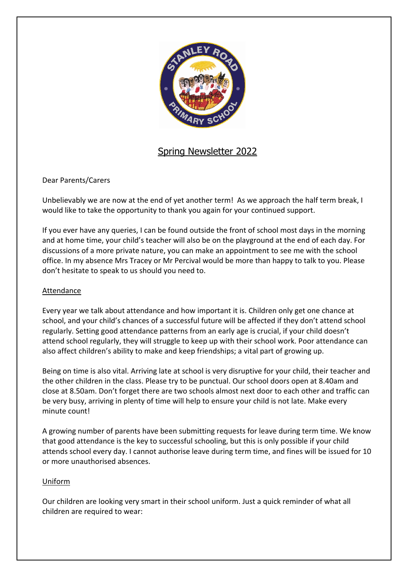

# Spring Newsletter 2022

Dear Parents/Carers

Unbelievably we are now at the end of yet another term! As we approach the half term break, I would like to take the opportunity to thank you again for your continued support.

If you ever have any queries, I can be found outside the front of school most days in the morning and at home time, your child's teacher will also be on the playground at the end of each day. For discussions of a more private nature, you can make an appointment to see me with the school office. In my absence Mrs Tracey or Mr Percival would be more than happy to talk to you. Please don't hesitate to speak to us should you need to.

# Attendance

Every year we talk about attendance and how important it is. Children only get one chance at school, and your child's chances of a successful future will be affected if they don't attend school regularly. Setting good attendance patterns from an early age is crucial, if your child doesn't attend school regularly, they will struggle to keep up with their school work. Poor attendance can also affect children's ability to make and keep friendships; a vital part of growing up.

Being on time is also vital. Arriving late at school is very disruptive for your child, their teacher and the other children in the class. Please try to be punctual. Our school doors open at 8.40am and close at 8.50am. Don't forget there are two schools almost next door to each other and traffic can be very busy, arriving in plenty of time will help to ensure your child is not late. Make every minute count!

A growing number of parents have been submitting requests for leave during term time. We know that good attendance is the key to successful schooling, but this is only possible if your child attends school every day. I cannot authorise leave during term time, and fines will be issued for 10 or more unauthorised absences.

# Uniform

Our children are looking very smart in their school uniform. Just a quick reminder of what all children are required to wear: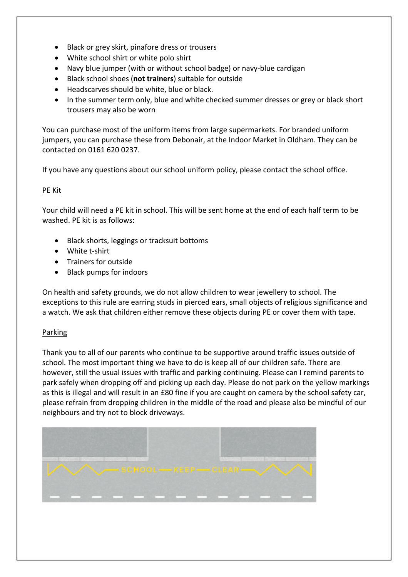- Black or grey skirt, pinafore dress or trousers
- White school shirt or white polo shirt
- Navy blue jumper (with or without school badge) or navy-blue cardigan
- Black school shoes (**not trainers**) suitable for outside
- Headscarves should be white, blue or black.
- In the summer term only, blue and white checked summer dresses or grey or black short trousers may also be worn

You can purchase most of the uniform items from large supermarkets. For branded uniform jumpers, you can purchase these from Debonair, at the Indoor Market in Oldham. They can be contacted on 0161 620 0237.

If you have any questions about our school uniform policy, please contact the school office.

# PE Kit

Your child will need a PE kit in school. This will be sent home at the end of each half term to be washed. PE kit is as follows:

- Black shorts, leggings or tracksuit bottoms
- White t-shirt
- Trainers for outside
- Black pumps for indoors

On health and safety grounds, we do not allow children to wear jewellery to school. The exceptions to this rule are earring studs in pierced ears, small objects of religious significance and a watch. We ask that children either remove these objects during PE or cover them with tape.

# Parking

Thank you to all of our parents who continue to be supportive around traffic issues outside of school. The most important thing we have to do is keep all of our children safe. There are however, still the usual issues with traffic and parking continuing. Please can I remind parents to park safely when dropping off and picking up each day. Please do not park on the yellow markings as this is illegal and will result in an £80 fine if you are caught on camera by the school safety car, please refrain from dropping children in the middle of the road and please also be mindful of our neighbours and try not to block driveways.